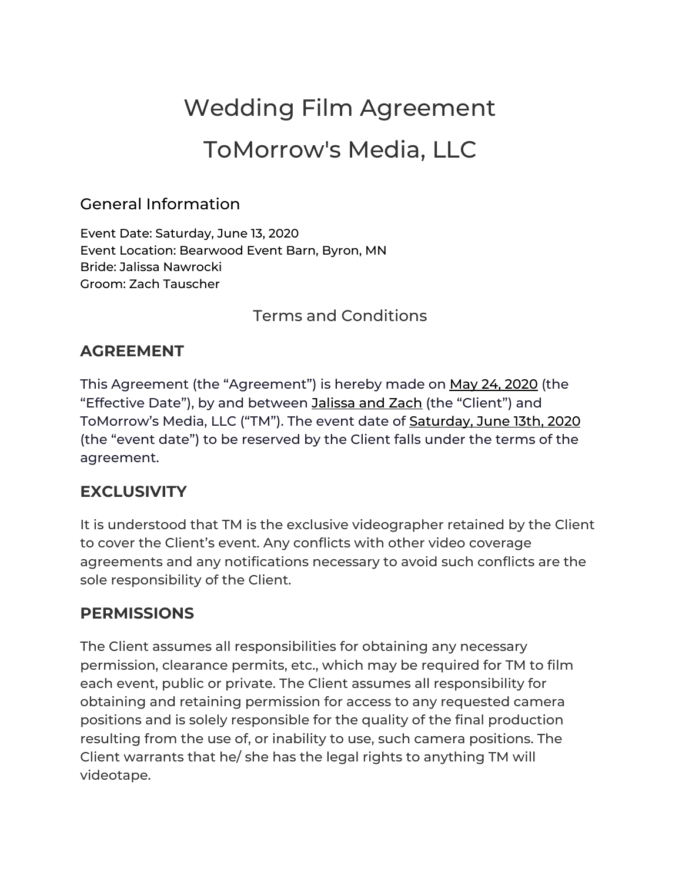# Wedding Film Agreement

## ToMorrow's Media, LLC

#### General Information

Event Date: Saturday, June 13, 2020 Event Location: Bearwood Event Barn, Byron, MN Bride: Jalissa Nawrocki Groom: Zach Tauscher

Terms and Conditions

## **AGREEMENT**

This Agreement (the "Agreement") is hereby made on May 24, 2020 (the "Effective Date"), by and between Jalissa and Zach (the "Client") and ToMorrow's Media, LLC ("TM"). The event date of **Saturday, June 13th, 2020** (the "event date") to be reserved by the Client falls under the terms of the agreement.

## **EXCLUSIVITY**

It is understood that TM is the exclusive videographer retained by the Client to cover the Client's event. Any conflicts with other video coverage agreements and any notifications necessary to avoid such conflicts are the sole responsibility of the Client.

## **PERMISSIONS**

The Client assumes all responsibilities for obtaining any necessary permission, clearance permits, etc., which may be required for TM to film each event, public or private. The Client assumes all responsibility for obtaining and retaining permission for access to any requested camera positions and is solely responsible for the quality of the final production resulting from the use of, or inability to use, such camera positions. The Client warrants that he/ she has the legal rights to anything TM will videotape.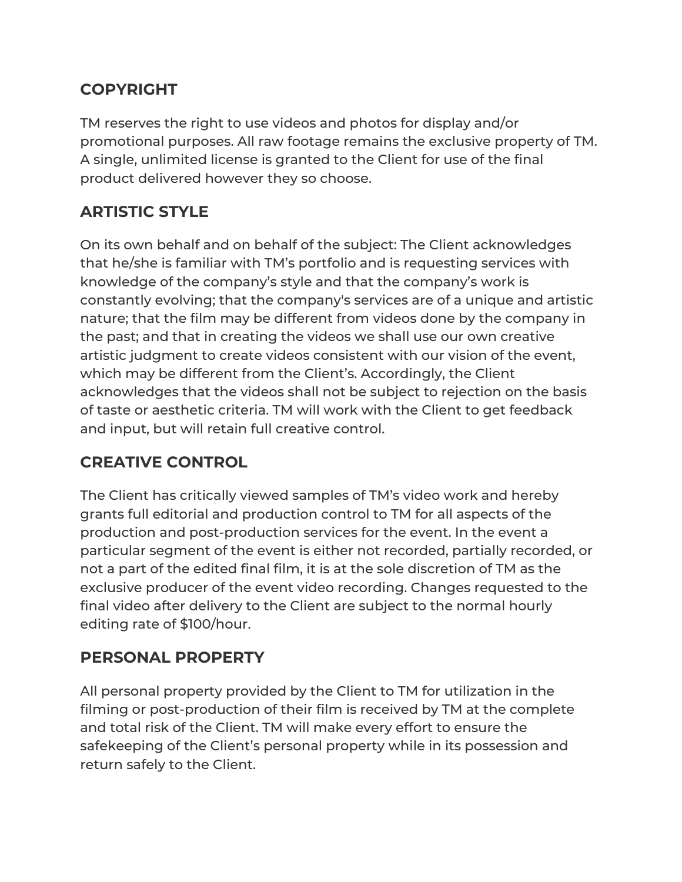## **COPYRIGHT**

TM reserves the right to use videos and photos for display and/or promotional purposes. All raw footage remains the exclusive property of TM. A single, unlimited license is granted to the Client for use of the final product delivered however they so choose.

## **ARTISTIC STYLE**

On its own behalf and on behalf of the subject: The Client acknowledges that he/she is familiar with TM's portfolio and is requesting services with knowledge of the company's style and that the company's work is constantly evolving; that the company's services are of a unique and artistic nature; that the film may be different from videos done by the company in the past; and that in creating the videos we shall use our own creative artistic judgment to create videos consistent with our vision of the event, which may be different from the Client's. Accordingly, the Client acknowledges that the videos shall not be subject to rejection on the basis of taste or aesthetic criteria. TM will work with the Client to get feedback and input, but will retain full creative control.

## **CREATIVE CONTROL**

The Client has critically viewed samples of TM's video work and hereby grants full editorial and production control to TM for all aspects of the production and post-production services for the event. In the event a particular segment of the event is either not recorded, partially recorded, or not a part of the edited final film, it is at the sole discretion of TM as the exclusive producer of the event video recording. Changes requested to the final video after delivery to the Client are subject to the normal hourly editing rate of \$100/hour.

## **PERSONAL PROPERTY**

All personal property provided by the Client to TM for utilization in the filming or post-production of their film is received by TM at the complete and total risk of the Client. TM will make every effort to ensure the safekeeping of the Client's personal property while in its possession and return safely to the Client.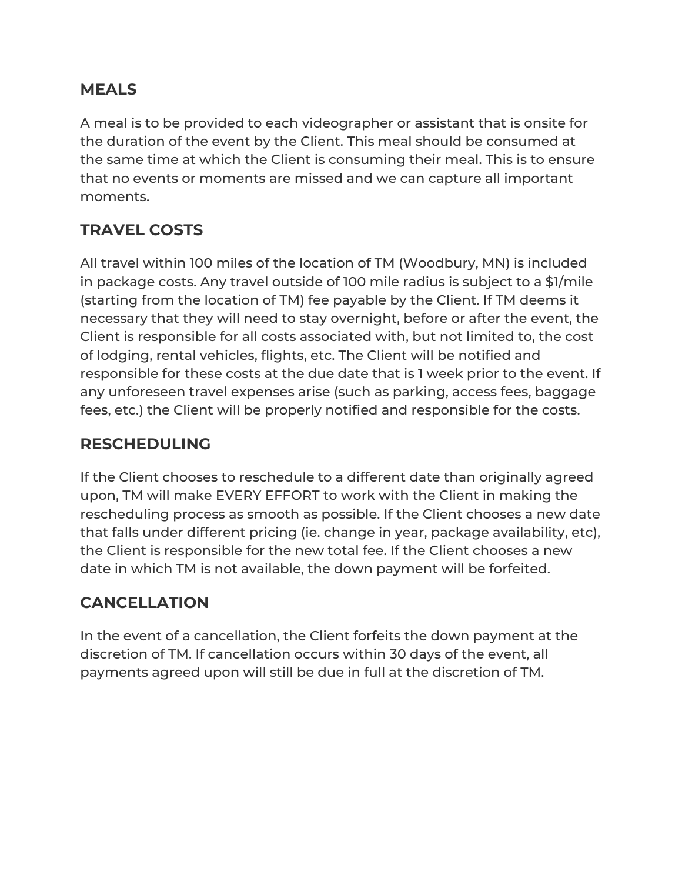#### **MEALS**

A meal is to be provided to each videographer or assistant that is onsite for the duration of the event by the Client. This meal should be consumed at the same time at which the Client is consuming their meal. This is to ensure that no events or moments are missed and we can capture all important moments.

## **TRAVEL COSTS**

All travel within 100 miles of the location of TM (Woodbury, MN) is included in package costs. Any travel outside of 100 mile radius is subject to a \$1/mile (starting from the location of TM) fee payable by the Client. If TM deems it necessary that they will need to stay overnight, before or after the event, the Client is responsible for all costs associated with, but not limited to, the cost of lodging, rental vehicles, flights, etc. The Client will be notified and responsible for these costs at the due date that is 1 week prior to the event. If any unforeseen travel expenses arise (such as parking, access fees, baggage fees, etc.) the Client will be properly notified and responsible for the costs.

### **RESCHEDULING**

If the Client chooses to reschedule to a different date than originally agreed upon, TM will make EVERY EFFORT to work with the Client in making the rescheduling process as smooth as possible. If the Client chooses a new date that falls under different pricing (ie. change in year, package availability, etc), the Client is responsible for the new total fee. If the Client chooses a new date in which TM is not available, the down payment will be forfeited.

## **CANCELLATION**

In the event of a cancellation, the Client forfeits the down payment at the discretion of TM. If cancellation occurs within 30 days of the event, all payments agreed upon will still be due in full at the discretion of TM.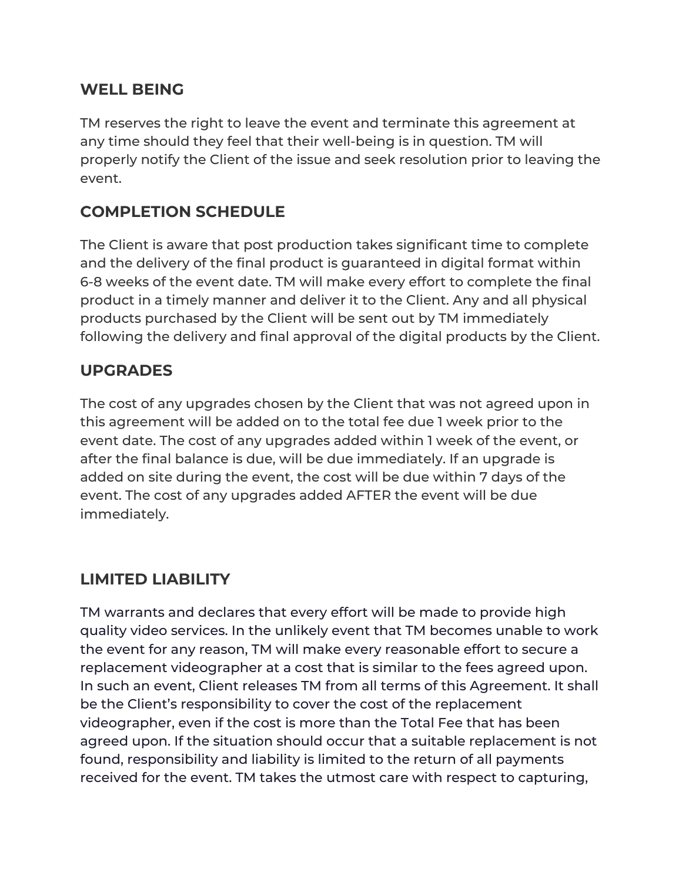#### **WELL BEING**

TM reserves the right to leave the event and terminate this agreement at any time should they feel that their well-being is in question. TM will properly notify the Client of the issue and seek resolution prior to leaving the event.

## **COMPLETION SCHEDULE**

The Client is aware that post production takes significant time to complete and the delivery of the final product is guaranteed in digital format within 6-8 weeks of the event date. TM will make every effort to complete the final product in a timely manner and deliver it to the Client. Any and all physical products purchased by the Client will be sent out by TM immediately following the delivery and final approval of the digital products by the Client.

#### **UPGRADES**

The cost of any upgrades chosen by the Client that was not agreed upon in this agreement will be added on to the total fee due 1 week prior to the event date. The cost of any upgrades added within 1 week of the event, or after the final balance is due, will be due immediately. If an upgrade is added on site during the event, the cost will be due within 7 days of the event. The cost of any upgrades added AFTER the event will be due immediately.

#### **LIMITED LIABILITY**

TM warrants and declares that every effort will be made to provide high quality video services. In the unlikely event that TM becomes unable to work the event for any reason, TM will make every reasonable effort to secure a replacement videographer at a cost that is similar to the fees agreed upon. In such an event, Client releases TM from all terms of this Agreement. It shall be the Client's responsibility to cover the cost of the replacement videographer, even if the cost is more than the Total Fee that has been agreed upon. If the situation should occur that a suitable replacement is not found, responsibility and liability is limited to the return of all payments received for the event. TM takes the utmost care with respect to capturing,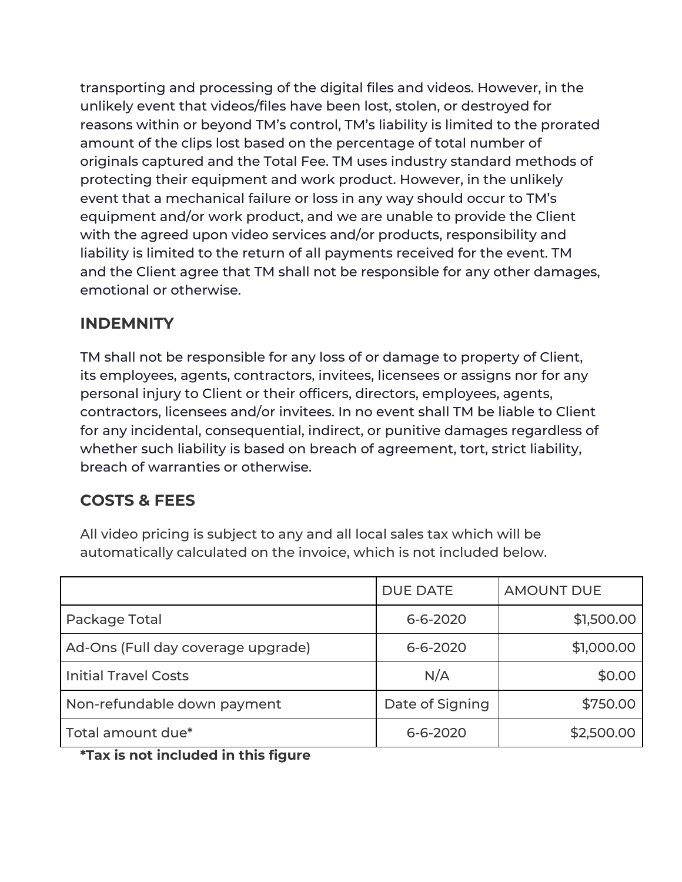transporting and processing of the digital files and videos. However, in the unlikely event that videos/files have been lost, stolen, or destroyed for reasons within or beyond TM's control, TM's liability is limited to the prorated amount of the clips lost based on the percentage of total number of originals captured and the Total Fee. TM uses industry standard methods of protecting their equipment and work product. However, in the unlikely event that a mechanical failure or loss in any way should occur to TM's equipment and/or work product, and we are unable to provide the Client with the agreed upon video services and/or products, responsibility and liability is limited to the return of all payments received for the event. TM and the Client agree that TM shall not be responsible for any other damages, emotional or otherwise.

#### **INDEMNITY**

TM shall not be responsible for any loss of or damage to property of Client, its employees, agents, contractors, invitees, licensees or assigns nor for any personal injury to Client or their officers, directors, employees, agents, contractors, licensees and/or invitees. In no event shall TM be liable to Client for any incidental, consequential, indirect, or punitive damages regardless of whether such liability is based on breach of agreement, tort, strict liability, breach of warranties or otherwise.

## **COSTS & FEES**

All video pricing is subject to any and all local sales tax which will be automatically calculated on the invoice, which is not included below.

|                                    | <b>DUE DATE</b> | <b>AMOUNT DUE</b> |
|------------------------------------|-----------------|-------------------|
| Package Total                      | $6 - 6 - 2020$  | \$1,500.00        |
| Ad-Ons (Full day coverage upgrade) | $6 - 6 - 2020$  | \$1,000.00        |
| <b>Initial Travel Costs</b>        | N/A             | \$0.00            |
| Non-refundable down payment        | Date of Signing | \$750.00          |
| Total amount due*                  | 6-6-2020        | \$2,500.00        |

**\*Tax is not included in this figure**